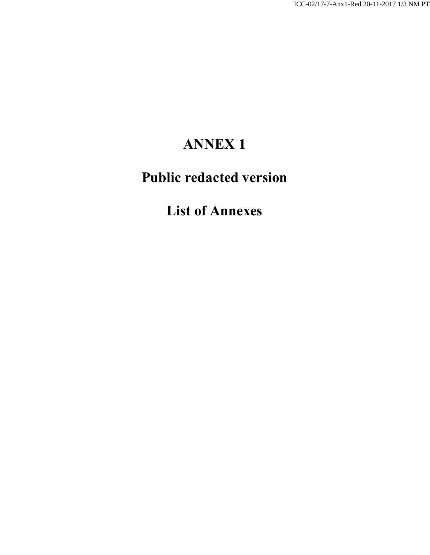## **ANNEX 1**

## **Public redacted version**

## **List of Annexes**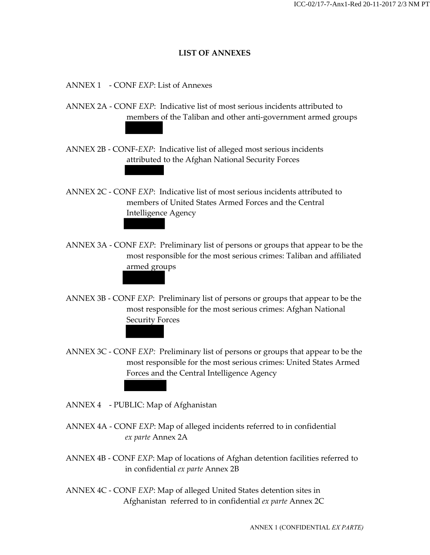## **LIST OF ANNEXES**

ANNEX 1 - CONF *EXP*: List of Annexes

ANNEX 2A - CONF *EXP*: Indicative list of most serious incidents attributed to members of the Taliban and other anti-government armed groups

ANNEX 2B - CONF-*EXP*: Indicative list of alleged most serious incidents attributed to the Afghan National Security Forces

ANNEX 2C - CONF *EXP*: Indicative list of most serious incidents attributed to members of United States Armed Forces and the Central Intelligence Agency

- ANNEX 3A CONF *EXP*: Preliminary list of persons or groups that appear to be the most responsible for the most serious crimes: Taliban and affiliated armed groups
- ANNEX 3B CONF *EXP*: Preliminary list of persons or groups that appear to be the most responsible for the most serious crimes: Afghan National Security Forces

ANNEX 3C - CONF *EXP:* Preliminary list of persons or groups that appear to be the most responsible for the most serious crimes: United States Armed Forces and the Central Intelligence Agency

ANNEX 4 - PUBLIC: Map of Afghanistan

ANNEX 4A - CONF *EXP*: Map of alleged incidents referred to in confidential *ex parte* Annex 2A

ANNEX 4B - CONF *EXP*: Map of locations of Afghan detention facilities referred to in confidential *ex parte* Annex 2B

ANNEX 4C - CONF *EXP*: Map of alleged United States detention sites in Afghanistan referred to in confidential *ex parte* Annex 2C